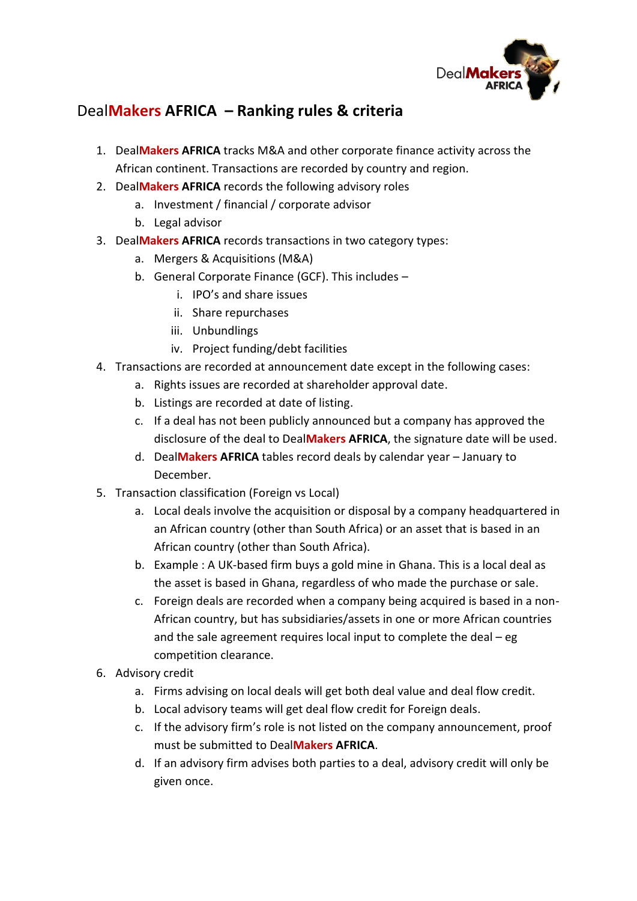

## Deal**Makers AFRICA – Ranking rules & criteria**

- 1. Deal**Makers AFRICA** tracks M&A and other corporate finance activity across the African continent. Transactions are recorded by country and region.
- 2. Deal**Makers AFRICA** records the following advisory roles
	- a. Investment / financial / corporate advisor
	- b. Legal advisor
- 3. Deal**Makers AFRICA** records transactions in two category types:
	- a. Mergers & Acquisitions (M&A)
	- b. General Corporate Finance (GCF). This includes
		- i. IPO's and share issues
		- ii. Share repurchases
		- iii. Unbundlings
		- iv. Project funding/debt facilities
- 4. Transactions are recorded at announcement date except in the following cases:
	- a. Rights issues are recorded at shareholder approval date.
	- b. Listings are recorded at date of listing.
	- c. If a deal has not been publicly announced but a company has approved the disclosure of the deal to Deal**Makers AFRICA**, the signature date will be used.
	- d. Deal**Makers AFRICA** tables record deals by calendar year January to December.
- 5. Transaction classification (Foreign vs Local)
	- a. Local deals involve the acquisition or disposal by a company headquartered in an African country (other than South Africa) or an asset that is based in an African country (other than South Africa).
	- b. Example : A UK-based firm buys a gold mine in Ghana. This is a local deal as the asset is based in Ghana, regardless of who made the purchase or sale.
	- c. Foreign deals are recorded when a company being acquired is based in a non-African country, but has subsidiaries/assets in one or more African countries and the sale agreement requires local input to complete the deal – eg competition clearance.
- 6. Advisory credit
	- a. Firms advising on local deals will get both deal value and deal flow credit.
	- b. Local advisory teams will get deal flow credit for Foreign deals.
	- c. If the advisory firm's role is not listed on the company announcement, proof must be submitted to Deal**Makers AFRICA**.
	- d. If an advisory firm advises both parties to a deal, advisory credit will only be given once.